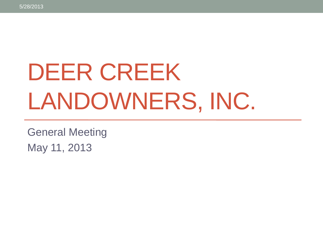# DEER CREEK LANDOWNERS, INC.

General Meeting May 11, 2013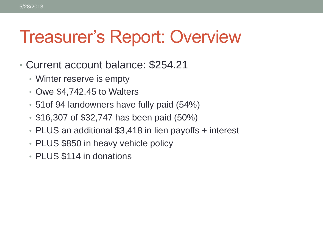#### Treasurer's Report: Overview

- Current account balance: \$254.21
	- Winter reserve is empty
	- Owe \$4,742.45 to Walters
	- 51of 94 landowners have fully paid (54%)
	- \$16,307 of \$32,747 has been paid (50%)
	- PLUS an additional \$3,418 in lien payoffs + interest
	- PLUS \$850 in heavy vehicle policy
	- PLUS \$114 in donations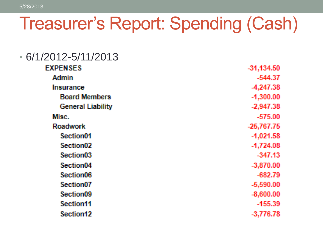### Treasurer's Report: Spending (Cash)

| $6/1/2012 - 5/11/2013$   |              |
|--------------------------|--------------|
| <b>EXPENSES</b>          | $-31,134.50$ |
| <b>Admin</b>             | $-544.37$    |
| <b>Insurance</b>         | -4,247.38    |
| <b>Board Members</b>     | $-1,300.00$  |
| <b>General Liability</b> | $-2,947.38$  |
| Misc.                    | $-575.00$    |
| <b>Roadwork</b>          | $-25,767.75$ |
| Section01                | $-1,021.58$  |
| Section <sub>02</sub>    | $-1,724.08$  |
| Section <sub>03</sub>    | $-347.13$    |
| Section <sub>04</sub>    | $-3,870.00$  |
| Section <sub>06</sub>    | $-682.79$    |
| Section <sub>07</sub>    | $-5,590.00$  |
| Section <sub>09</sub>    | $-8,600.00$  |
| Section11                | $-155.39$    |
| Section12                | $-3,776.78$  |
|                          |              |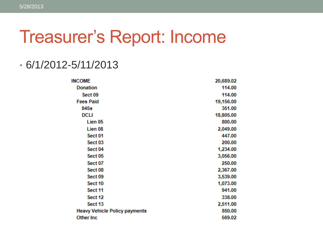#### Treasurer's Report: Income

#### • 6/1/2012-5/11/2013

| <b>INCOME</b>                        | 20,689.02 |
|--------------------------------------|-----------|
| <b>Donation</b>                      | 114.00    |
| Sect 09                              | 114.00    |
| <b>Fees Paid</b>                     | 19,156.00 |
| 845s                                 | 351.00    |
| DCLI                                 | 18,805.00 |
| Lien 05                              | 800.00    |
| Lien 08                              | 2,049.00  |
| Sect 01                              | 447.00    |
| Sect <sub>03</sub>                   | 200.00    |
| Sect <sub>04</sub>                   | 1,234.00  |
| Sect 05                              | 3,056.00  |
| Sect 07                              | 250.00    |
| Sect <sub>08</sub>                   | 2,367.00  |
| Sect 09                              | 3,539.00  |
| Sect 10                              | 1,073.00  |
| Sect 11                              | 941.00    |
| Sect 12                              | 338.00    |
| Sect 13                              | 2,511.00  |
| <b>Heavy Vehicle Policy payments</b> | 850.00    |
| Other Inc                            | 569.02    |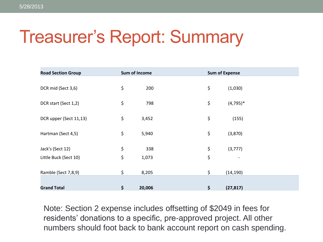## Treasurer's Report: Summary

| <b>Road Section Group</b> | Sum of Income |        | <b>Sum of Expense</b> |            |
|---------------------------|---------------|--------|-----------------------|------------|
|                           |               |        |                       |            |
| DCR mid (Sect 3,6)        | \$            | 200    | \$                    | (1,030)    |
|                           |               |        |                       |            |
| DCR start (Sect 1,2)      | \$            | 798    | \$                    | $(4,795)*$ |
| DCR upper (Sect 11,13)    | \$            | 3,452  | \$                    |            |
|                           |               |        |                       | (155)      |
| Hartman (Sect 4,5)        | \$            | 5,940  | \$                    | (3,870)    |
|                           |               |        |                       |            |
| Jack's (Sect 12)          | \$            | 338    | \$                    | (3, 777)   |
| Little Buck (Sect 10)     | \$            | 1,073  | \$                    |            |
|                           |               |        |                       |            |
| Ramble (Sect 7,8,9)       | \$            | 8,205  | \$                    | (14, 190)  |
|                           |               |        |                       |            |
| <b>Grand Total</b>        | \$            | 20,006 | \$                    | (27, 817)  |

Note: Section 2 expense includes offsetting of \$2049 in fees for residents' donations to a specific, pre-approved project. All other numbers should foot back to bank account report on cash spending.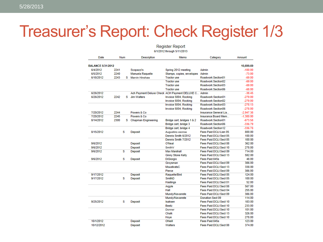#### Treasurer's Report: Check Register 1/3

#### **Register Report** 6/1/2012 through 5/11/2013 Date Num Memo Category Amount **Description BALANCE 5/31/2012** 10.699.69 6/4/2012 2241  $-100.00$ Scopazzi's Spring 2012 meeting Admin 6/5/2012 2240 Manuela Raquelle  $-73.00$ Stamps, copies, envelopes Admin 6/18/2012 2243 S Marvin Hinshaw **Tractor use** Roadwork:Section01  $-69.00$ **Tractor use** Roadwork:Section02  $-69.00$ **Tractor use** Roadwork:Section03  $-69.00$ **Tractor use** Roadwork:Section06  $-68.00$ 6/26/2012 Ach Payment Deluxe Check ACH Payment DELUXE C. Admin  $-38.45$ 6/26/2012 2242 S Jim Walters Invoice 5004, Rocking Roadwork:Section01  $-279.00$ Invoice 5004, Rocking Roadwork:Section02  $-279.00$  $-278.13$ Invoice 5004, Rocking Roadwork:Section03 Invoice 5004, Rocking Roadwork:Section06  $-278.00$ 7/20/2012 2244 Powers & Co Insurance: General Lia.  $-2,947.38$ 7/20/2012 2245 Powers & Co Insurance: Board Mem.  $-1,300.00$ 8/14/2012 2300 S Chapman Engineering Bridge cert, bridges 1 & 2 Roadwork:Section01  $-673.58$ Bridge cert, bridge 3 Roadwork:Section06  $-336.79$ Bridge cert, bridge 4 Roadwork:Section12  $-336.78$ s Fees Paid:DCLI:Lien 05 800.00 8/15/2012 Deposit Augustino escrow Dennis Smith 6/2012 Fees Paid: DCLI: Sect 05 100.00 Dennis Smith 7/2012 Fees Paid: DCLI: Sect 05 100.00 9/6/2012 Deposit O'Neal Fees Paid:DCLI:Sect 08 362.00 9/6/2012 SmithV Fees Paid: DCLI: Sect 10 278.00 Deposit  $\overline{\mathbf{s}}$ 9/6/2012 Deposit **Max Marshall** Fees Paid:DCLI:Sect 09 714.00 **Ginny Stone Kelly** Fees Paid: DCLI: Sect 13 592.00 9/6/2012 s Fees Paid:845s 48.00 Deposit **DiGiorgio** Groysman Fees Paid:DCLI:Sect 09 386.00 MoustiratsC Fees Paid:DCLI:Sect 13 338.00 386.00 Pierce Fees Paid: DCLI: Sect 09 9/17/2012 **Deposit** Raquelle/Bird Fees Paid: DCLI: Sect 05 124.00 9/17/2012 s SmithD Fees Paid: DCLI: Sect 05 100.00 Deposit **Hastings** Fees Paid:DCLI:Sect 01 52.00 Argyle Fees Paid:DCLI:Sect 08 567.00 Hall Fees Paid: DCLI: Sect 04 255.00 Mundy/Navarrete Fees Paid: DCLI: Sect 09 386.00 Mundy/Navarrete Donation:Sect 09 114.00 9/25/2012 s Deposit Isaksen Fees Paid:DCLI:Sect 10 183.00 Beetz Fees Paid: DCLI: Sect 10 233.00 Fees Paid: DCLI: Sect 10 101.00 Donner

Chalk

Hoye

ONeill

Walters

**Deposit** 

Deposit

10/1/2012

10/12/2012

Fees Paid: DCLI: Sect 13

Fees Paid: DCLI: Sect 10

Fees Paid: DCLI: Sect 08

Fees Paid: 845s

326.00

278.00

123.00

374.00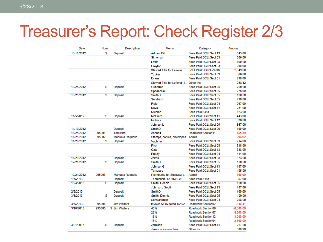#### Treasurer's Report: Check Register 2/3

| Date       | Num    | <b>Description</b> | Memo                                         | Category                 | Amount      |
|------------|--------|--------------------|----------------------------------------------|--------------------------|-------------|
| 10/18/2012 | s      | Deposit            | Adrian, Bill                                 | Fees Paid: DCLI: Sect 13 | 543.00      |
|            |        |                    | Simonson                                     | Fees Paid: DCLI: Sect 05 | 266.00      |
|            |        |                    | <b>Loffis</b>                                | Fees Paid: DCLI: Sect 08 | 690.00      |
|            |        |                    | Craytor                                      | Fees Paid: DCLI: Sect 03 | 200.00      |
|            |        |                    | Stewart Title for Lefever                    | Fees Paid: DCLI: Lien 08 | 2.049.00    |
|            |        |                    | Tucker                                       | Fees Paid:DCLI:Sect 09   | 386.00      |
|            |        |                    | Evans                                        | Fees Paid: DCLI: Sect 01 | 290.00      |
|            |        |                    | Stewart Title for Lefever--i Other Inc.      |                          | 268.12      |
| 10/25/2012 | s      | <b>Deposit</b>     | Gutierrez                                    | Fees Paid:DCLI:Sect 05   | 290.00      |
|            |        |                    | Spadaccini                                   | Fees Paid: DCLI: Sect 05 | 278.00      |
| 10/25/2012 | s      | Deposit            | <b>SmithD</b>                                | Fees Paid: DCLI: Sect 05 | 100.00      |
|            |        |                    | Sundram                                      | Fees Paid:DCLI:Sect 05   | 290.00      |
|            |        |                    | Field                                        | Fees Paid: DCLI: Sect 04 | 267.00      |
|            |        |                    | Koval                                        | Fees Paid: DCLI: Sect 11 | 231.00      |
|            |        |                    | Quinlan                                      | Fees Paid:845s           | 123.00      |
| 11/5/2012  | s      | Deposit            | <b>McGuire</b>                               | Fees Paid:DCLI:Sect 11   | 443.00      |
|            |        |                    | <b>Nichols</b>                               | Fees Paid: DCLI: Sect 12 | 338.00      |
|            |        |                    | JohnsonL                                     | Fees Paid:DCLI:Sect 09   | 567.00      |
| 11/19/2012 |        | <b>Deposit</b>     | <b>SmithD</b>                                | Fees Paid: DCLI: Sect 05 | 100.00      |
| 11/25/2012 | 995001 | <b>Tom Bird</b>    | Asphalt                                      | Roadwork:Section11       | $-155.39$   |
| 11/25/2012 | 995002 | Manuela Raquelle   | Stamps, copies, envelopes                    | Admin                    | $-94.92$    |
| 11/26/2012 | s      | Deposit            | Vachher                                      | Fees Paid:DCLI:Sect 09   | 714.00      |
|            |        |                    | <b>Fitch</b>                                 | Fees Paid:DCLI:Sect 05   | 518.00      |
|            |        |                    | Cate                                         | Fees Paid:DCLI:Sect 13   | 338.00      |
|            |        |                    | Prouty                                       | Fees Paid: DCLI: Sect 04 | 414.00      |
| 11/29/2012 |        | <b>Deposit</b>     | Jarvis                                       | Fees Paid:DCLI:Sect 08   | 374.00      |
| 12/21/2012 | s      | Deposit            | <b>SmithD</b>                                | Fees Paid: DCLI: Sect 05 | 100.00      |
|            |        |                    | <b>JohnsonG</b>                              | Fees Paid: DCLI: Sect 13 | 187.00      |
|            |        |                    | Tomasso                                      | Fees Paid: DCLI: Sect 01 | 105.00      |
| 12/21/2012 | 995003 | Manuela Raquelle   | Reimburse for Scopazzi's,  Admin             |                          | $-100.00$   |
| 1/4/2013   |        | Deposit            | ThompsonJ NO IMAGE                           | Fees Paid:845s           | 57.00       |
| 1/24/2013  | s      | <b>Deposit</b>     | <b>Smith, Dennis</b>                         | Fees Paid:DCLI:Sect 05   | 100.00      |
|            |        |                    | Johnson, Geoff                               | Fees Paid: DCLI: Sect 13 | 187.00      |
| 2/8/2013   |        | Deposit            | <b>SmithD</b>                                | Fees Paid: DCLI: Sect 05 | 100.00      |
| 3/6/2013   | s      | Deposit            | Smith, Dennis                                | Fees Paid: DCLI: Sect 05 | 100.00      |
|            |        |                    | Schwarzman                                   | Fees Paid:DCLI:Sect 04   | 298.00      |
| 3/7/2013   | 995004 | <b>Jim Walters</b> | Invoice 5146 dated 1/26/2 Roadwork:Section02 |                          | $-640.41$   |
| 3/18/2013  | 995005 | S Jim Walters      | 40%                                          | Roadwork:Section09       | $-8.000.00$ |
|            |        |                    | 26%                                          | Roadwork:Section07       | $-5.200.00$ |
|            |        |                    | 16%                                          | Roadwork:Section12       | $-3.200.00$ |
|            |        |                    | 18%                                          | Roadwork:Section04       | $-3.600.00$ |
| 3/21/2013  | s      | Deposit            | Jamison                                      | Fees Paid: DCLI: Sect 11 | 267.00      |
|            |        |                    | Jamison escrow fees                          | Other Inc.               | 300.90      |